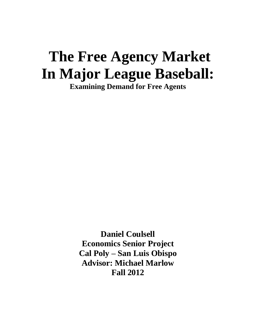# **The Free Agency Market In Major League Baseball: Examining Demand for Free Agents**

**Daniel Coulsell Economics Senior Project Cal Poly – San Luis Obispo Advisor: Michael Marlow Fall 2012**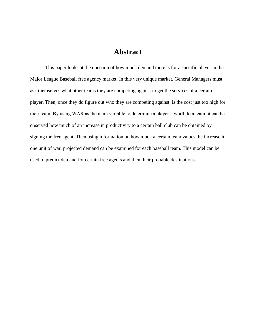# **Abstract**

This paper looks at the question of how much demand there is for a specific player in the Major League Baseball free agency market. In this very unique market, General Managers must ask themselves what other teams they are competing against to get the services of a certain player. Then, once they do figure out who they are competing against, is the cost just too high for their team. By using WAR as the main variable to determine a player's worth to a team, it can be observed how much of an increase in productivity to a certain ball club can be obtained by signing the free agent. Then using information on how much a certain team values the increase in one unit of war, projected demand can be examined for each baseball team. This model can be used to predict demand for certain free agents and then their probable destinations.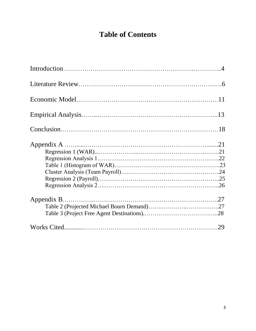# **Table of Contents**

| 29 |
|----|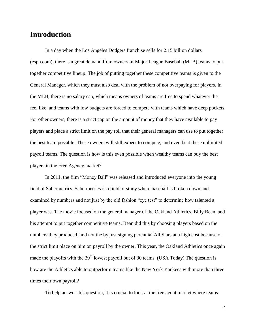# **Introduction**

In a day when the Los Angeles Dodgers franchise sells for 2.15 billion dollars (espn.com), there is a great demand from owners of Major League Baseball (MLB) teams to put together competitive lineup. The job of putting together these competitive teams is given to the General Manager, which they must also deal with the problem of not overpaying for players. In the MLB, there is no salary cap, which means owners of teams are free to spend whatever the feel like, and teams with low budgets are forced to compete with teams which have deep pockets. For other owners, there is a strict cap on the amount of money that they have available to pay players and place a strict limit on the pay roll that their general managers can use to put together the best team possible. These owners will still expect to compete, and even beat these unlimited payroll teams. The question is how is this even possible when wealthy teams can buy the best players in the Free Agency market?

In 2011, the film "Money Ball" was released and introduced everyone into the young field of Sabermetrics. Sabermetrics is a field of study where baseball is broken down and examined by numbers and not just by the old fashion "eye test" to determine how talented a player was. The movie focused on the general manager of the Oakland Athletics, Billy Bean, and his attempt to put together competitive teams. Bean did this by choosing players based on the numbers they produced, and not the by just signing perennial All Stars at a high cost because of the strict limit place on him on payroll by the owner. This year, the Oakland Athletics once again made the playoffs with the  $29<sup>th</sup>$  lowest payroll out of 30 teams. (USA Today) The question is how are the Athletics able to outperform teams like the New York Yankees with more than three times their own payroll?

To help answer this question, it is crucial to look at the free agent market where teams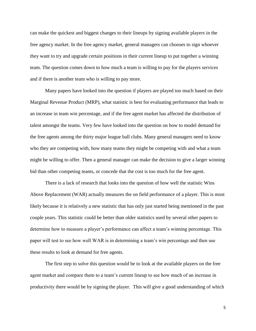can make the quickest and biggest changes to their lineups by signing available players in the free agency market. In the free agency market, general managers can chooses to sign whoever they want to try and upgrade certain positions in their current lineup to put together a winning team. The question comes down to how much a team is willing to pay for the players services and if there is another team who is willing to pay more.

Many papers have looked into the question if players are played too much based on their Marginal Revenue Product (MRP), what statistic is best for evaluating performance that leads to an increase in team win percentage, and if the free agent market has affected the distribution of talent amongst the teams. Very few have looked into the question on how to model demand for the free agents among the thirty major league ball clubs. Many general managers need to know who they are competing with, how many teams they might be competing with and what a team might be willing to offer. Then a general manager can make the decision to give a larger winning bid than other competing teams, or concede that the cost is too much for the free agent.

There is a lack of research that looks into the question of how well the statistic Wins Above Replacement (WAR) actually measures the on field performance of a player. This is most likely because it is relatively a new statistic that has only just started being mentioned in the past couple years. This statistic could be better than older statistics used by several other papers to determine how to measure a player's performance can affect a team's winning percentage. This paper will test to see how well WAR is in determining a team's win percentage and then use these results to look at demand for free agents.

The first step to solve this question would be to look at the available players on the free agent market and compare them to a team's current lineup to see how much of an increase in productivity there would be by signing the player. This will give a good understanding of which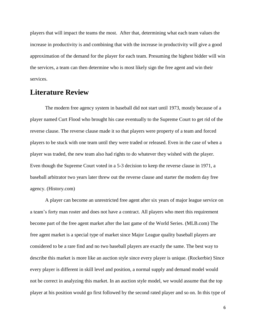players that will impact the teams the most. After that, determining what each team values the increase in productivity is and combining that with the increase in productivity will give a good approximation of the demand for the player for each team. Presuming the highest bidder will win the services, a team can then determine who is most likely sign the free agent and win their services.

# **Literature Review**

The modern free agency system in baseball did not start until 1973, mostly because of a player named Curt Flood who brought his case eventually to the Supreme Court to get rid of the reverse clause. The reverse clause made it so that players were property of a team and forced players to be stuck with one team until they were traded or released. Even in the case of when a player was traded, the new team also had rights to do whatever they wished with the player. Even though the Supreme Court voted in a 5-3 decision to keep the reverse clause in 1971, a baseball arbitrator two years later threw out the reverse clause and starter the modern day free agency. (History.com)

A player can become an unrestricted free agent after six years of major league service on a team's forty man roster and does not have a contract. All players who meet this requirement become part of the free agent market after the last game of the World Series. (MLB.com) The free agent market is a special type of market since Major League quality baseball players are considered to be a rare find and no two baseball players are exactly the same. The best way to describe this market is more like an auction style since every player is unique. (Rockerbie) Since every player is different in skill level and position, a normal supply and demand model would not be correct in analyzing this market. In an auction style model, we would assume that the top player at his position would go first followed by the second rated player and so on. In this type of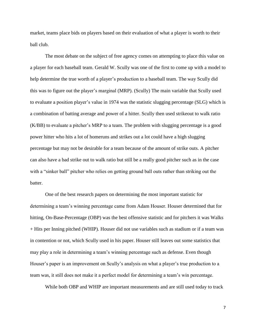market, teams place bids on players based on their evaluation of what a player is worth to their ball club.

The most debate on the subject of free agency comes on attempting to place this value on a player for each baseball team. Gerald W. Scully was one of the first to come up with a model to help determine the true worth of a player's production to a baseball team. The way Scully did this was to figure out the player's marginal (MRP). (Scully) The main variable that Scully used to evaluate a position player's value in 1974 was the statistic slugging percentage (SLG) which is a combination of batting average and power of a hitter. Scully then used strikeout to walk ratio (K/BB) to evaluate a pitcher's MRP to a team. The problem with slugging percentage is a good power hitter who hits a lot of homeruns and strikes out a lot could have a high slugging percentage but may not be desirable for a team because of the amount of strike outs. A pitcher can also have a bad strike out to walk ratio but still be a really good pitcher such as in the case with a "sinker ball" pitcher who relies on getting ground ball outs rather than striking out the batter.

One of the best research papers on determining the most important statistic for determining a team's winning percentage came from Adam Houser. Houser determined that for hitting, On-Base-Percentage (OBP) was the best offensive statistic and for pitchers it was Walks + Hits per Inning pitched (WHIP). Houser did not use variables such as stadium or if a team was in contention or not, which Scully used in his paper. Houser still leaves out some statistics that may play a role in determining a team's winning percentage such as defense. Even though Houser's paper is an improvement on Scully's analysis on what a player's true production to a team was, it still does not make it a perfect model for determining a team's win percentage.

While both OBP and WHIP are important measurements and are still used today to track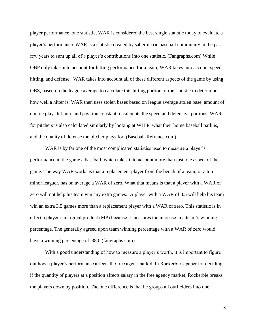player performance, one statistic, WAR is considered the best single statistic today to evaluate a player's performance. WAR is a statistic created by sabermetric baseball community in the past few years to sum up all of a player's contributions into one statistic. (Fangraphs.com) While OBP only takes into account for hitting performance for a team; WAR takes into account speed, hitting, and defense. WAR takes into account all of these different aspects of the game by using OBS, based on the league average to calculate this hitting portion of the statistic to determine how well a hitter is. WAR then uses stolen bases based on league average stolen base, amount of double plays hit into, and position constant to calculate the speed and defensive portions. WAR for pitchers is also calculated similarly by looking at WHIP, what their home baseball park is, and the quality of defense the pitcher plays for. (Baseball-Refrence.com)

WAR is by far one of the most complicated statistics used to measure a player's performance in the game a baseball, which takes into account more than just one aspect of the game. The way WAR works is that a replacement player from the bench of a team, or a top minor leaguer, has on average a WAR of zero. What that means is that a player with a WAR of zero will not help his team win any extra games. A player with a WAR of 3.5 will help his team win an extra 3.5 games more than a replacement player with a WAR of zero. This statistic is in effect a player's marginal product (MP) because it measures the increase in a team's winning percentage. The generally agreed upon team winning percentage with a WAR of zero would have a winning percentage of .380. (fangraphs.com)

With a good understanding of how to measure a player's worth, it is important to figure out how a player's performance affects the free agent market. In Rockerbie's paper for deciding if the quantity of players at a position affects salary in the free agency market, Rockerbie breaks the players down by position. The one difference is that he groups all outfielders into one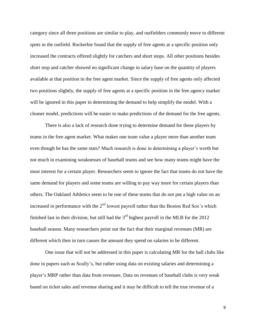category since all three positions are similar to play, and outfielders commonly move to different spots in the outfield. Rockerbie found that the supply of free agents at a specific position only increased the contracts offered slightly for catchers and short stops. All other positions besides short stop and catcher showed no significant change in salary base on the quantity of players available at that position in the free agent market. Since the supply of free agents only affected two positions slightly, the supply of free agents at a specific position in the free agency market will be ignored in this paper in determining the demand to help simplify the model. With a cleaner model, predictions will be easier to make predictions of the demand for the free agents.

There is also a lack of research done trying to determine demand for these players by teams in the free agent market. What makes one team value a player more than another team even though he has the same stats? Much research is done in determining a player's worth but not much in examining weaknesses of baseball teams and see how many teams might have the most interest for a certain player. Researchers seem to ignore the fact that teams do not have the same demand for players and some teams are willing to pay way more for certain players than others. The Oakland Athletics seem to be one of these teams that do not put a high value on an increased in performance with the  $2<sup>nd</sup>$  lowest payroll rather than the Boston Red Sox's which finished last in their division, but still had the  $3<sup>rd</sup>$  highest payroll in the MLB for the 2012 baseball season. Many researchers point out the fact that their marginal revenues (MR) are different which then in turn causes the amount they spend on salaries to be different.

One issue that will not be addressed in this paper is calculating MR for the ball clubs like done in papers such as Scully's, but rather using data on existing salaries and determining a player's MRP rather than data from revenues. Data on revenues of baseball clubs is very weak based on ticket sales and revenue sharing and it may be difficult to tell the true revenue of a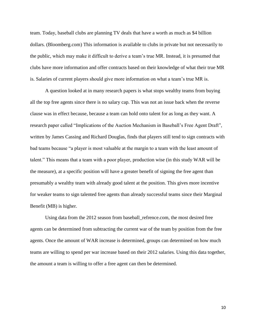team. Today, baseball clubs are planning TV deals that have a worth as much as \$4 billion dollars. (Bloomberg.com) This information is available to clubs in private but not necessarily to the public, which may make it difficult to derive a team's true MR. Instead, it is presumed that clubs have more information and offer contracts based on their knowledge of what their true MR is. Salaries of current players should give more information on what a team's true MR is.

A question looked at in many research papers is what stops wealthy teams from buying all the top free agents since there is no salary cap. This was not an issue back when the reverse clause was in effect because, because a team can hold onto talent for as long as they want. A research paper called "Implications of the Auction Mechanism in Baseball's Free Agent Draft", written by James Cassing and Richard Douglas, finds that players still tend to sign contracts with bad teams because "a player is most valuable at the margin to a team with the least amount of talent." This means that a team with a poor player, production wise (in this study WAR will be the measure), at a specific position will have a greater benefit of signing the free agent than presumably a wealthy team with already good talent at the position. This gives more incentive for weaker teams to sign talented free agents than already successful teams since their Marginal Benefit (MB) is higher.

Using data from the 2012 season from baseball\_refrence.com, the most desired free agents can be determined from subtracting the current war of the team by position from the free agents. Once the amount of WAR increase is determined, groups can determined on how much teams are willing to spend per war increase based on their 2012 salaries. Using this data together, the amount a team is willing to offer a free agent can then be determined.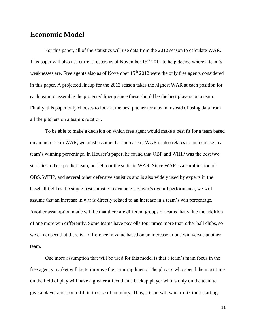## **Economic Model**

For this paper, all of the statistics will use data from the 2012 season to calculate WAR. This paper will also use current rosters as of November  $15<sup>th</sup> 2011$  to help decide where a team's weaknesses are. Free agents also as of November 15<sup>th</sup> 2012 were the only free agents considered in this paper. A projected lineup for the 2013 season takes the highest WAR at each position for each team to assemble the projected lineup since these should be the best players on a team. Finally, this paper only chooses to look at the best pitcher for a team instead of using data from all the pitchers on a team's rotation.

To be able to make a decision on which free agent would make a best fit for a team based on an increase in WAR, we must assume that increase in WAR is also relates to an increase in a team's winning percentage. In Houser's paper, he found that OBP and WHIP was the best two statistics to best predict team, but left out the statistic WAR. Since WAR is a combination of OBS, WHIP, and several other defensive statistics and is also widely used by experts in the baseball field as the single best statistic to evaluate a player's overall performance, we will assume that an increase in war is directly related to an increase in a team's win percentage. Another assumption made will be that there are different groups of teams that value the addition of one more win differently. Some teams have payrolls four times more than other ball clubs, so we can expect that there is a difference in value based on an increase in one win versus another team.

One more assumption that will be used for this model is that a team's main focus in the free agency market will be to improve their starting lineup. The players who spend the most time on the field of play will have a greater affect than a backup player who is only on the team to give a player a rest or to fill in in case of an injury. Thus, a team will want to fix their starting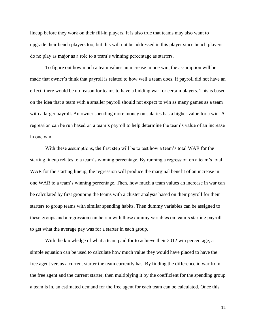lineup before they work on their fill-in players. It is also true that teams may also want to upgrade their bench players too, but this will not be addressed in this player since bench players do no play as major as a role to a team's winning percentage as starters.

To figure out how much a team values an increase in one win, the assumption will be made that owner's think that payroll is related to how well a team does. If payroll did not have an effect, there would be no reason for teams to have a bidding war for certain players. This is based on the idea that a team with a smaller payroll should not expect to win as many games as a team with a larger payroll. An owner spending more money on salaries has a higher value for a win. A regression can be run based on a team's payroll to help determine the team's value of an increase in one win.

With these assumptions, the first step will be to test how a team's total WAR for the starting lineup relates to a team's winning percentage. By running a regression on a team's total WAR for the starting lineup, the regression will produce the marginal benefit of an increase in one WAR to a team's winning percentage. Then, how much a team values an increase in war can be calculated by first grouping the teams with a cluster analysis based on their payroll for their starters to group teams with similar spending habits. Then dummy variables can be assigned to these groups and a regression can be run with these dummy variables on team's starting payroll to get what the average pay was for a starter in each group.

With the knowledge of what a team paid for to achieve their 2012 win percentage, a simple equation can be used to calculate how much value they would have placed to have the free agent versus a current starter the team currently has. By finding the difference in war from the free agent and the current starter, then multiplying it by the coefficient for the spending group a team is in, an estimated demand for the free agent for each team can be calculated. Once this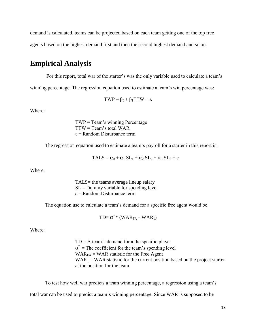demand is calculated, teams can be projected based on each team getting one of the top free

agents based on the highest demand first and then the second highest demand and so on.

# **Empirical Analysis**

For this report, total war of the starter's was the only variable used to calculate a team's

winning percentage. The regression equation used to estimate a team's win percentage was:

$$
TWP = \beta_0 + \beta_1 TTW + \epsilon
$$

Where:

 $TWP = Team's winning Percentage$ TTW = Team's total WAR ε = Random Disturbance term

The regression equation used to estimate a team's payroll for a starter in this report is:

$$
TALS = \alpha_0 + \alpha_1 SL_1 + \alpha_2 SL_2 + \alpha_3 SL_3 + \epsilon
$$

Where:

TALS= the teams average lineup salary  $SL =$  Dummy variable for spending level  $\epsilon$  = Random Disturbance term

The equation use to calculate a team's demand for a specific free agent would be:

$$
TD{= \alpha^* * (WAR_{FA} - WAR_1)}
$$

Where:

 $TD = A$  team's demand for a the specific player  $\alpha^*$  = The coefficient for the team's spending level  $WAR_{FA}$  = WAR statistic for the Free Agent  $WAR_1 = WAR$  statistic for the current position based on the project starter at the position for the team.

To test how well war predicts a team winning percentage, a regression using a team's total war can be used to predict a team's winning percentage. Since WAR is supposed to be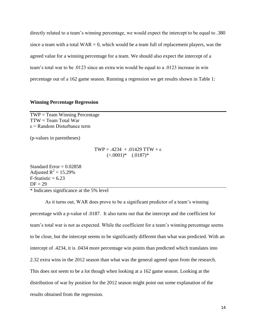directly related to a team's winning percentage, we would expect the intercept to be equal to .380 since a team with a total  $WAR = 0$ , which would be a team full of replacement players, was the agreed value for a winning percentage for a team. We should also expect the intercept of a team's total war to be .0123 since an extra win would be equal to a .0123 increase in win percentage out of a 162 game season. Running a regression we get results shown in Table 1:

#### **Winning Percentage Regression**

 $TWP = Team$  Winning Percentage TTW = Team Total War  $\epsilon$  = Random Disturbance term

(p-values in parentheses)

$$
TWP = .4234 + .01429 TTW + ε
$$
  

$$
(\leq .0001)^* \quad (.0187)^*
$$

Standard Error  $= 0.02858$ Adjusted  $R^2 = 15.29\%$  $F-Statistic = 6.23$  $DF = 29$ 

\* Indicates significance at the 5% level

As it turns out, WAR does prove to be a significant predictor of a team's winning percentage with a p-value of .0187. It also turns out that the intercept and the coefficient for team's total war is not as expected. While the coefficient for a team's winning percentage seems to be close, but the intercept seems to be significantly different than what was predicted. With an intercept of .4234, it is .0434 more percentage win points than predicted which translates into 2.32 extra wins in the 2012 season than what was the general agreed upon from the research. This does not seem to be a lot though when looking at a 162 game season. Looking at the distribution of war by position for the 2012 season might point out some explanation of the results obtained from the regression.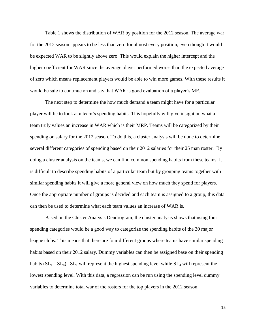Table 1 shows the distribution of WAR by position for the 2012 season. The average war for the 2012 season appears to be less than zero for almost every position, even though it would be expected WAR to be slightly above zero. This would explain the higher intercept and the higher coefficient for WAR since the average player performed worse than the expected average of zero which means replacement players would be able to win more games. With these results it would be safe to continue on and say that WAR is good evaluation of a player's MP.

The next step to determine the how much demand a team might have for a particular player will be to look at a team's spending habits. This hopefully will give insight on what a team truly values an increase in WAR which is their MRP. Teams will be categorized by their spending on salary for the 2012 season. To do this, a cluster analysis will be done to determine several different categories of spending based on their 2012 salaries for their 25 man roster. By doing a cluster analysis on the teams, we can find common spending habits from these teams. It is difficult to describe spending habits of a particular team but by grouping teams together with similar spending habits it will give a more general view on how much they spend for players. Once the appropriate number of groups is decided and each team is assigned to a group, this data can then be used to determine what each team values an increase of WAR is.

Based on the Cluster Analysis Dendrogram, the cluster analysis shows that using four spending categories would be a good way to categorize the spending habits of the 30 major league clubs. This means that there are four different groups where teams have similar spending habits based on their 2012 salary. Dummy variables can then be assigned base on their spending habits  $(SL_1 - SL_4)$ .  $SL_1$  will represent the highest spending level while  $SL_4$  will represent the lowest spending level. With this data, a regression can be run using the spending level dummy variables to determine total war of the rosters for the top players in the 2012 season.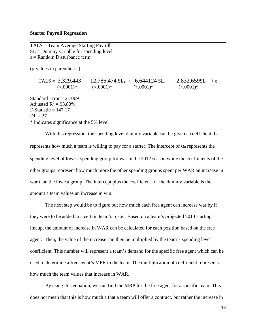#### **Starter Payroll Regression**

TALS = Team Average Starting Payroll  $SL =$  Dummy variable for spending level  $\epsilon$  = Random Disturbance term

(p-values in parentheses)

TALS =  $3,329,443 + 12,786,474 \text{ SL}_1 + 6,644124 \text{ SL}_2 + 2,832,659 \text{ SL}_3 + \epsilon$  $(\leq 0.0001)^*$   $(\leq 0.0001)^*$   $(\leq 0.0001)^*$   $(\leq 0.0001)^*$ Standard Error  $= 2.7009$ Adjusted  $R^2 = 93.80\%$  $F-Statistic = 147.17$  $DF = 27$ 

\* Indicates significance at the 5% level

With this regression, the spending level dummy variable can be given a coefficient that represents how much a team is willing to pay for a starter. The intercept of  $\alpha_0$  represents the spending level of lowest spending group for war in the 2012 season while the coefficients of the other groups represent how much more the other spending groups spent per WAR an increase in war than the lowest group. The intercept plus the coefficient for the dummy variable is the amount a team values an increase in win.

The next step would be to figure out how much each free agent can increase war by if they were to be added to a certain team's roster. Based on a team's projected 2013 starting lineup, the amount of increase in WAR can be calculated for each position based on the free agent. Then, the value of the increase can then be multiplied by the team's spending level coefficient. This number will represent a team's demand for the specific free agent which can be used to determine a free agent's MPR to the team. The multiplication of coefficient represents how much the team values that increase in WAR.

By using this equation, we can find the MRP for the free agent for a specific team. This does not mean that this is how much a that a team will offer a contract, but rather the increase in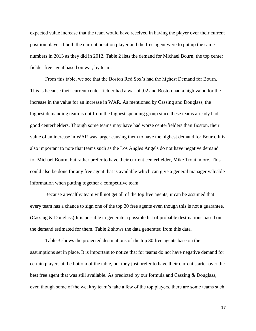expected value increase that the team would have received in having the player over their current position player if both the current position player and the free agent were to put up the same numbers in 2013 as they did in 2012. Table 2 lists the demand for Michael Bourn, the top center fielder free agent based on war, by team.

From this table, we see that the Boston Red Sox's had the highest Demand for Bourn. This is because their current center fielder had a war of .02 and Boston had a high value for the increase in the value for an increase in WAR. As mentioned by Cassing and Douglass, the highest demanding team is not from the highest spending group since these teams already had good centerfielders. Though some teams may have had worse centerfielders than Boston, their value of an increase in WAR was larger causing them to have the highest demand for Bourn. It is also important to note that teams such as the Los Angles Angels do not have negative demand for Michael Bourn, but rather prefer to have their current centerfielder, Mike Trout, more. This could also be done for any free agent that is available which can give a general manager valuable information when putting together a competitive team.

Because a wealthy team will not get all of the top free agents, it can be assumed that every team has a chance to sign one of the top 30 free agents even though this is not a guarantee. (Cassing & Douglass) It is possible to generate a possible list of probable destinations based on the demand estimated for them. Table 2 shows the data generated from this data.

Table 3 shows the projected destinations of the top 30 free agents base on the assumptions set in place. It is important to notice that for teams do not have negative demand for certain players at the bottom of the table, but they just prefer to have their current starter over the best free agent that was still available. As predicted by our formula and Cassing & Douglass, even though some of the wealthy team's take a few of the top players, there are some teams such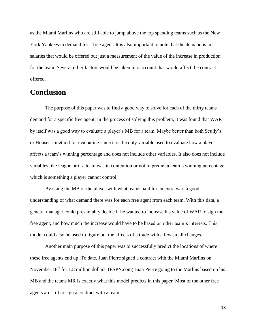as the Miami Marlins who are still able to jump above the top spending teams such as the New York Yankees in demand for a free agent. It is also important to note that the demand is not salaries that would be offered but just a measurement of the value of the increase in production for the team. Several other factors would be taken into account that would affect the contract offered.

## **Conclusion**

The purpose of this paper was to find a good way to solve for each of the thirty teams demand for a specific free agent. In the process of solving this problem, it was found that WAR by itself was a good way to evaluate a player's MB for a team. Maybe better than both Scully's or Houser's method for evaluating since it is the only variable used to evaluate how a player affects a team's winning percentage and does not include other variables. It also does not include variables like league or if a team was in contention or not to predict a team's winning percentage which is something a player cannot control.

By using the MB of the player with what teams paid for an extra war, a good understanding of what demand there was for each free agent from each team. With this data, a general manager could presumably decide if he wanted to increase his value of WAR to sign the free agent, and how much the increase would have to be based on other team's interests. This model could also be used to figure out the effects of a trade with a few small changes.

Another main purpose of this paper was to successfully predict the locations of where these free agents end up. To date, Juan Pierre signed a contract with the Miami Marlins on November  $18<sup>th</sup>$  for 1.8 million dollars. (ESPN.com) Juan Pierre going to the Marlins based on his MB and the teams MR is exactly what this model predicts in this paper. Most of the other free agents are still to sign a contract with a team.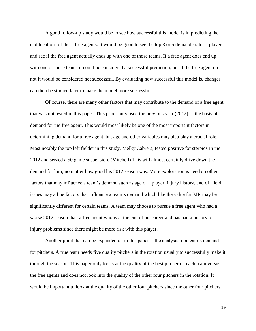A good follow-up study would be to see how successful this model is in predicting the end locations of these free agents. It would be good to see the top 3 or 5 demanders for a player and see if the free agent actually ends up with one of those teams. If a free agent does end up with one of those teams it could be considered a successful prediction, but if the free agent did not it would be considered not successful. By evaluating how successful this model is, changes can then be studied later to make the model more successful.

Of course, there are many other factors that may contribute to the demand of a free agent that was not tested in this paper. This paper only used the previous year (2012) as the basis of demand for the free agent. This would most likely be one of the most important factors in determining demand for a free agent, but age and other variables may also play a crucial role. Most notably the top left fielder in this study, Melky Cabrera, tested positive for steroids in the 2012 and served a 50 game suspension. (Mitchell) This will almost certainly drive down the demand for him, no matter how good his 2012 season was. More exploration is need on other factors that may influence a team's demand such as age of a player, injury history, and off field issues may all be factors that influence a team's demand which like the value for MR may be significantly different for certain teams. A team may choose to pursue a free agent who had a worse 2012 season than a free agent who is at the end of his career and has had a history of injury problems since there might be more risk with this player.

Another point that can be expanded on in this paper is the analysis of a team's demand for pitchers. A true team needs five quality pitchers in the rotation usually to successfully make it through the season. This paper only looks at the quality of the best pitcher on each team versus the free agents and does not look into the quality of the other four pitchers in the rotation. It would be important to look at the quality of the other four pitchers since the other four pitchers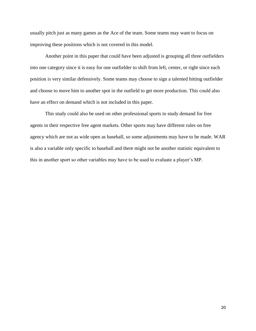usually pitch just as many games as the Ace of the team. Some teams may want to focus on improving these positions which is not covered in this model.

Another point in this paper that could have been adjusted is grouping all three outfielders into one category since it is easy for one outfielder to shift from left, center, or right since each position is very similar defensively. Some teams may choose to sign a talented hitting outfielder and choose to move him to another spot in the outfield to get more production. This could also have an effect on demand which is not included in this paper.

This study could also be used on other professional sports to study demand for free agents in their respective free agent markets. Other sports may have different rules on free agency which are not as wide open as baseball, so some adjustments may have to be made. WAR is also a variable only specific to baseball and there might not be another statistic equivalent to this in another sport so other variables may have to be used to evaluate a player's MP.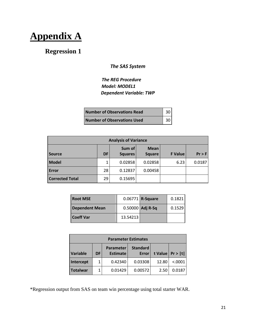**Appendix A**

# **Regression 1**

## *The SAS System*

## *The REG Procedure Model: MODEL1 Dependent Variable: TWP*

| <b>Number of Observations Read</b> | 30  |
|------------------------------------|-----|
| <b>Number of Observations Used</b> | 30. |

| <b>Analysis of Variance</b> |           |                          |                              |                |          |  |  |
|-----------------------------|-----------|--------------------------|------------------------------|----------------|----------|--|--|
| <b>Source</b>               | <b>DF</b> | Sum of<br><b>Squares</b> | <b>Mean</b><br><b>Square</b> | <b>F</b> Value | $Pr$ > F |  |  |
| Model                       |           | 0.02858                  | 0.02858                      | 6.23           | 0.0187   |  |  |
| Error                       | 28        | 0.12837                  | 0.00458                      |                |          |  |  |
| <b>Corrected Total</b>      | 29        | 0.15695                  |                              |                |          |  |  |

| <b>Root MSE</b>       |          | $0.06771$ R-Square | 0.1821 |
|-----------------------|----------|--------------------|--------|
| <b>Dependent Mean</b> |          | $0.50000$ Adj R-Sq | 0.1529 |
| <b>Coeff Var</b>      | 13.54213 |                    |        |

| <b>Parameter Estimates</b> |    |                                                                 |         |       |                      |  |
|----------------------------|----|-----------------------------------------------------------------|---------|-------|----------------------|--|
| <b>Variable</b>            | DF | <b>Standard</b><br><b>Parameter</b><br><b>Estimate</b><br>Error |         |       | t Value   $Pr >  t $ |  |
| Intercept                  |    | 0.42340                                                         | 0.03308 | 12.80 | < .0001              |  |
| <b>Totalwar</b>            |    | 0.01429                                                         | 0.00572 | 2.50  | 0.0187               |  |

\*Regression output from SAS on team win percentage using total starter WAR.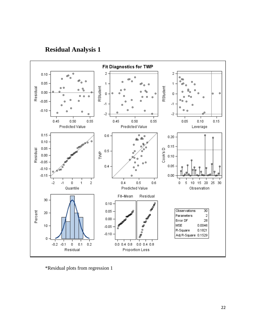**Residual Analysis 1**



\*Residual plots from regression 1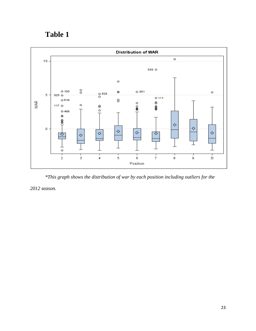# **Table 1**



*\*This graph shows the distribution of war by each position including outliers for the* 

*2012 season.*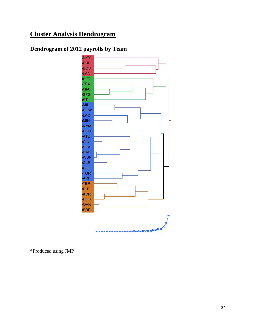# **Cluster Analysis Dendrogram**

# **Dendrogram of 2012 payrolls by Team**



\*Produced using JMP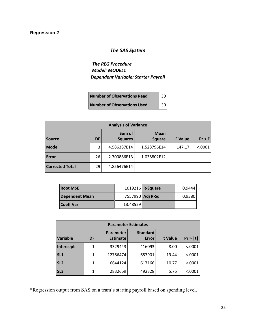### **Regression 2**

## *The SAS System*

*The REG Procedure Model: MODEL1 Dependent Variable: Starter Payroll*

| <b>Number of Observations Read</b> | $\vert$ 30 |
|------------------------------------|------------|
| <b>Number of Observations Used</b> | $\vert$ 30 |

| <b>Analysis of Variance</b> |           |                          |                              |                |          |  |
|-----------------------------|-----------|--------------------------|------------------------------|----------------|----------|--|
| <b>Source</b>               | <b>DF</b> | Sum of<br><b>Squares</b> | <b>Mean</b><br><b>Square</b> | <b>F</b> Value | $Pr$ > F |  |
| <b>Model</b>                | 3         | 4.586387E14              | 1.528796E14                  | 147.17         | < .0001  |  |
| <b>Error</b>                | 26        | 2.700886E13              | 1.038802E12                  |                |          |  |
| <b>Corrected Total</b>      | 29        | 4.856476E14              |                              |                |          |  |

| <b>Root MSE</b>       |                  | 1019216 <b>R-Square</b> | 0.9444 |
|-----------------------|------------------|-------------------------|--------|
| <b>Dependent Mean</b> | 7557990 Adj R-Sq |                         | 0.9380 |
| <b>Coeff Var</b>      | 13.48529         |                         |        |

| <b>Parameter Estimates</b> |           |                                     |                                 |         |         |
|----------------------------|-----------|-------------------------------------|---------------------------------|---------|---------|
| Variable                   | <b>DF</b> | <b>Parameter</b><br><b>Estimate</b> | <b>Standard</b><br><b>Error</b> | t Value | Pr >  t |
| Intercept                  | 1         | 3329443                             | 416093                          | 8.00    | < .0001 |
| SL1                        | 1         | 12786474                            | 657901                          | 19.44   | < .0001 |
| SL <sub>2</sub>            | 1         | 6644124                             | 617166                          | 10.77   | < .0001 |
| SL <sub>3</sub>            | 1         | 2832659                             | 492328                          | 5.75    | < .0001 |

\*Regression output from SAS on a team's starting payroll based on spending level.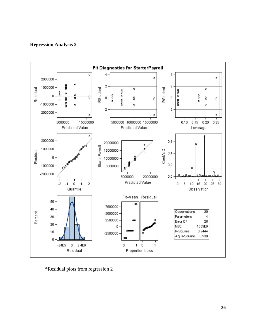## **Regression Analysis 2**



\*Residual plots from regression 2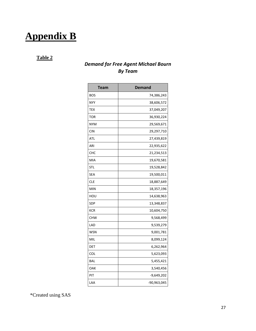# **Appendix B**

## **Table 2**

## *Demand for Free Agent Michael Bourn By Team*

| Team       | <b>Demand</b> |
|------------|---------------|
| <b>BOS</b> | 74,386,243    |
| <b>NYY</b> | 38,606,572    |
| TEX        | 37,049,207    |
| TOR        | 36,930,224    |
| <b>NYM</b> | 29,569,671    |
| CIN        | 29,297,710    |
| ATL        | 27,439,819    |
| ARI        | 22,935,622    |
| CHC        | 21,234,513    |
| MIA        | 19,670,581    |
| STL        | 19,528,842    |
| SEA        | 19,500,011    |
| CLE        | 18,887,649    |
| <b>MIN</b> | 18,357,196    |
| HOU        | 14,638,963    |
| SDP        | 13,348,837    |
| <b>KCR</b> | 10,604,750    |
| <b>CHW</b> | 9,568,499     |
| LAD        | 9,539,279     |
| WSN        | 9,001,781     |
| MIL        | 8,099,124     |
| DET        | 6,262,964     |
| COL        | 5,623,093     |
| <b>BAL</b> | 5,455,421     |
| OAK        | 3,540,456     |
| PIT        | $-9,649,202$  |
| LAA        | -90,963,045   |

\*Created using SAS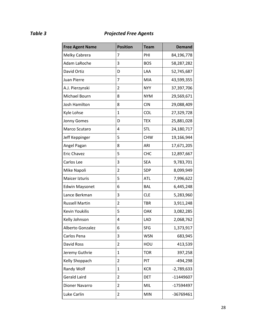# *Table 3 Projected Free Agents*

| <b>Free Agent Name</b> | <b>Position</b> | <b>Team</b> | <b>Demand</b> |
|------------------------|-----------------|-------------|---------------|
| Melky Cabrera          | 7               | PHI         | 84,196,778    |
| Adam LaRoche           | 3               | <b>BOS</b>  | 58,287,282    |
| David Ortiz            | D               | LAA         | 52,745,687    |
| Juan Pierre            | 7               | MIA         | 43,599,355    |
| A.J. Pierzynski        | $\overline{2}$  | <b>NYY</b>  | 37,397,706    |
| Michael Bourn          | 8               | <b>NYM</b>  | 29,569,671    |
| Josh Hamilton          | 8               | <b>CIN</b>  | 29,088,409    |
| Kyle Lohse             | $\mathbf{1}$    | <b>COL</b>  | 27,329,728    |
| Jonny Gomes            | D               | <b>TEX</b>  | 25,881,028    |
| Marco Scutaro          | 4               | <b>STL</b>  | 24,180,717    |
| Jeff Keppinger         | 5               | <b>CHW</b>  | 19,166,944    |
| Angel Pagan            | 8               | ARI         | 17,671,205    |
| Eric Chavez            | 5               | <b>CHC</b>  | 12,897,667    |
| Carlos Lee             | 3               | <b>SEA</b>  | 9,783,701     |
| Mike Napoli            | 2               | SDP         | 8,099,949     |
| Maicer Izturis         | 5               | <b>ATL</b>  | 7,996,622     |
| <b>Edwin Maysonet</b>  | 6               | <b>BAL</b>  | 6,445,248     |
| Lance Berkman          | 3               | <b>CLE</b>  | 5,283,960     |
| <b>Russell Martin</b>  | $\overline{2}$  | <b>TBR</b>  | 3,911,248     |
| <b>Kevin Youkilis</b>  | 5               | OAK         | 3,082,285     |
| Kelly Johnson          | 4               | LAD         | 2,068,762     |
| Alberto Gonzalez       | 6               | <b>SFG</b>  | 1,373,917     |
| Carlos Pena            | 3               | <b>WSN</b>  | 683,945       |
| David Ross             | $\overline{2}$  | HOU         | 413,539       |
| Jeremy Guthrie         | $\mathbf{1}$    | <b>TOR</b>  | 397,258       |
| Kelly Shoppach         | 2               | PIT         | $-494,298$    |
| Randy Wolf             | $\mathbf{1}$    | <b>KCR</b>  | $-2,789,633$  |
| <b>Gerald Laird</b>    | 2               | <b>DET</b>  | -11449607     |
| Dioner Navarro         | $\overline{2}$  | MIL         | -17594497     |
| Luke Carlin            | 2               | <b>MIN</b>  | -36769461     |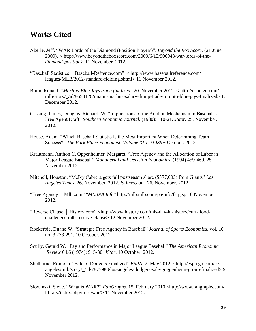# **Works Cited**

- Aberle. Jeff. "WAR Lords of the Diamond (Position Players)". *Beyond the Box Score.* (21 June, 2009). *<* [http://www.beyondtheboxscore.com/2009/6/12/906943/war-lords-of-the](http://www.beyondtheboxscore.com/2009/6/12/906943/war-lords-of-the-)*diamond-position>* 11 November. 2012.
- "Baseball Statistics │ Baseball-Refrence.com" < [http://www.baseballreference.com/](http://www.baseballreference.com/%09leagues/MLB) [leagues/MLB/](http://www.baseballreference.com/%09leagues/MLB)2012-standard-fielding.shtml> 11 November 2012.
- Blum, Ronald. "*Marlins-Blue Jays trade finalized*" 20. November 2012. < <http://espn.go.com/> mlb/story/\_/id/8653126/miami-marlins-salary-dump-trade-toronto-blue-jays-finalized> 1. December 2012.
- Cassing. James, Douglas. Richard. W. "Implications of the Auction Mechanism in Baseball's Free Agent Draft" *Southern Economic Journal.* (1980): 110-21. *JStor.* 25. November. 2012.
- House, Adam. "Which Baseball Statistic Is the Most Important When Determining Team Success?" *The Park Place Economist, Volume XIII* 10 *JStor* October. 2012.
- Krautmann, Anthon C, Oppenheimer, Margaret. "Free Agency and the Allocation of Labor in Major League Baseball" *Managerial and Decision Economics*. (1994) 459-469. 25 November 2012.
- Mitchell, Houston. "Melky Cabrera gets full postseason share (\$377,003) from Giants" *Los Angeles Times*. 26. November. 2012. *latimes.com.* 26. November. 2012.
- "Free Agency │ Mlb.com" "*MLBPA Info*"<http://mlb.mlb.com/pa/info/faq.jsp> 10 November 2012.
- "Reverse Clause │ History.com" <http://www.history.com/this-day-in-history/curt-floodchallenges-mlb-reserve-clause> 12 November 2012.
- Rockerbie, Duane W. "Strategic Free Agency in Baseball" *Journal of Sports Economics*. vol. 10 no. 3 278-291. 10 October. 2012.
- Scully, Gerald W. "Pay and Performance in Major League Baseball" *The American Economic Review* 64.6 (1974): 915-30. *JStor*. 10 October. 2012.
- Shelburne, Romona. "Sale of Dodgers Finalized" *ESPN.* 2. May 2012. [<http://espn.go.com/los](http://espn.go.com/los-%09angeles/mlb/story/_/id/7877983/los-angeles-dodgers-sale-guggenheim-group-finalized)[angeles/mlb/story/\\_/id/7877983/los-angeles-dodgers-sale-guggenheim-group-finalized>](http://espn.go.com/los-%09angeles/mlb/story/_/id/7877983/los-angeles-dodgers-sale-guggenheim-group-finalized) 9 November 2012.
- Slowinski, Steve. "What is WAR?" *FanGraphs.* 15. February 2010 <http://www.fangraphs.com/ library/index.php/misc/war/> 11 November 2012.